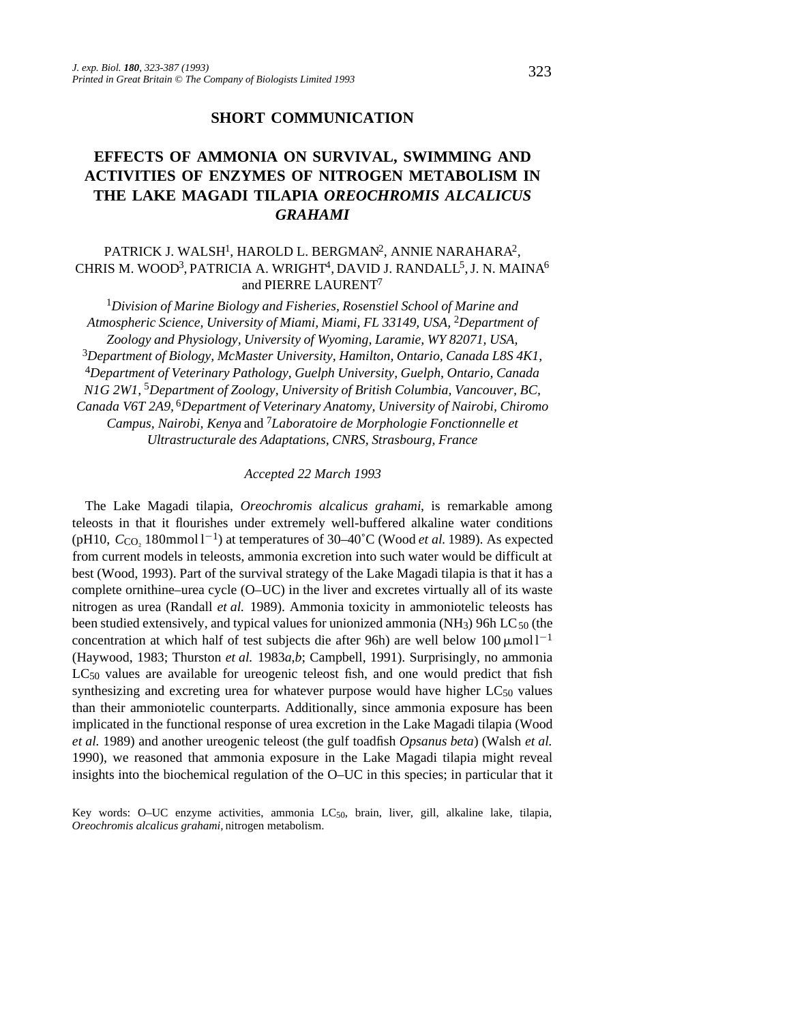### **SHORT COMMUNICATION**

# **EFFECTS OF AMMONIA ON SURVIVAL, SWIMMING AND ACTIVITIES OF ENZYMES OF NITROGEN METABOLISM IN THE LAKE MAGADI TILAPIA** *OREOCHROMIS ALCALICUS GRAHAMI*

## PATRICK J. WALSH<sup>1</sup>, HAROLD L. BERGMAN<sup>2</sup>, ANNIE NARAHARA<sup>2</sup>, CHRIS M. WOOD<sup>3</sup>, PATRICIA A. WRIGHT<sup>4</sup>, DAVID J. RANDALL<sup>5</sup>, J. N. MAINA<sup>6</sup> and PIERRE LAURENT<sup>7</sup>

<sup>1</sup>*Division of Marine Biology and Fisheries, Rosenstiel School of Marine and Atmospheric Science, University of Miami, Miami, FL 33149, USA,* 2*Department of Zoology and Physiology, University of Wyoming, Laramie, WY 82071, USA,* <sup>3</sup>*Department of Biology, McMaster University, Hamilton, Ontario, Canada L8S 4K1*, <sup>4</sup>*Department of Veterinary Pathology, Guelph University, Guelph, Ontario, Canada N1G 2W1,* 5*Department of Zoology, University of British Columbia, Vancouver, BC, Canada V6T 2A9,* 6*Department of Veterinary Anatomy, University of Nairobi, Chiromo Campus, Nairobi, Kenya* and 7*Laboratoire de Morphologie Fonctionnelle et Ultrastructurale des Adaptations, CNRS, Strasbourg, France*

#### *Accepted 22 March 1993*

The Lake Magadi tilapia, *Oreochromis alcalicus grahami*, is remarkable among teleosts in that it flourishes under extremely well-buffered alkaline water conditions (pH10,  $C_{\text{CO}_2}$  180mmol 1<sup>-1</sup>) at temperatures of 30–40°C (Wood *et al.* 1989). As expected from current models in teleosts, ammonia excretion into such water would be difficult at best (Wood, 1993). Part of the survival strategy of the Lake Magadi tilapia is that it has a complete ornithine–urea cycle (O–UC) in the liver and excretes virtually all of its waste nitrogen as urea (Randall *et al.* 1989). Ammonia toxicity in ammoniotelic teleosts has been studied extensively, and typical values for unionized ammonia (NH<sub>3</sub>) 96h LC<sub>50</sub> (the concentration at which half of test subjects die after 96h) are well below  $100 \,\text{\mu mol}$ <sup>1-1</sup> (Haywood, 1983; Thurston *et al.* 1983*a*,*b*; Campbell, 1991). Surprisingly, no ammonia LC50 values are available for ureogenic teleost fish, and one would predict that fish synthesizing and excreting urea for whatever purpose would have higher  $LC_{50}$  values than their ammoniotelic counterparts. Additionally, since ammonia exposure has been implicated in the functional response of urea excretion in the Lake Magadi tilapia (Wood *et al.* 1989) and another ureogenic teleost (the gulf toadfish *Opsanus beta*) (Walsh *et al.* 1990), we reasoned that ammonia exposure in the Lake Magadi tilapia might reveal insights into the biochemical regulation of the O–UC in this species; in particular that it

Key words: O–UC enzyme activities, ammonia LC50, brain, liver, gill, alkaline lake, tilapia, *Oreochromis alcalicus grahami,* nitrogen metabolism.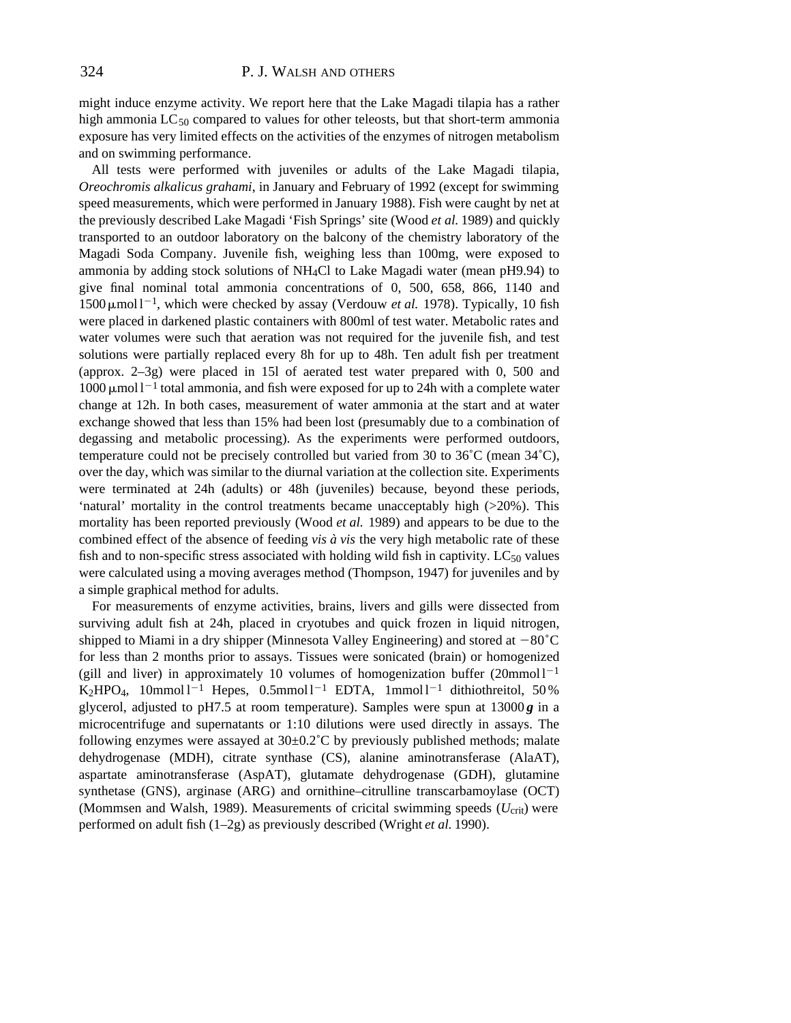might induce enzyme activity. We report here that the Lake Magadi tilapia has a rather high ammonia LC<sub>50</sub> compared to values for other teleosts, but that short-term ammonia exposure has very limited effects on the activities of the enzymes of nitrogen metabolism and on swimming performance.

All tests were performed with juveniles or adults of the Lake Magadi tilapia, *Oreochromis alkalicus grahami*, in January and February of 1992 (except for swimming speed measurements, which were performed in January 1988). Fish were caught by net at the previously described Lake Magadi 'Fish Springs' site (Wood *et al.* 1989) and quickly transported to an outdoor laboratory on the balcony of the chemistry laboratory of the Magadi Soda Company. Juvenile fish, weighing less than 100mg, were exposed to ammonia by adding stock solutions of NH4Cl to Lake Magadi water (mean pH9.94) to give final nominal total ammonia concentrations of 0, 500, 658, 866, 1140 and  $1500 \,\mathrm{\mu}$ mol $1^{-1}$ , which were checked by assay (Verdouw *et al.* 1978). Typically, 10 fish were placed in darkened plastic containers with 800ml of test water. Metabolic rates and water volumes were such that aeration was not required for the juvenile fish, and test solutions were partially replaced every 8h for up to 48h. Ten adult fish per treatment (approx. 2–3g) were placed in 15l of aerated test water prepared with 0, 500 and  $1000 \mu$ mol l<sup>-1</sup> total ammonia, and fish were exposed for up to 24h with a complete water change at 12h. In both cases, measurement of water ammonia at the start and at water exchange showed that less than 15% had been lost (presumably due to a combination of degassing and metabolic processing). As the experiments were performed outdoors, temperature could not be precisely controlled but varied from 30 to 36˚C (mean 34˚C), over the day, which was similar to the diurnal variation at the collection site. Experiments were terminated at 24h (adults) or 48h (juveniles) because, beyond these periods, 'natural' mortality in the control treatments became unacceptably high (>20%). This mortality has been reported previously (Wood *et al.* 1989) and appears to be due to the combined effect of the absence of feeding *vis à vis* the very high metabolic rate of these fish and to non-specific stress associated with holding wild fish in captivity.  $LC_{50}$  values were calculated using a moving averages method (Thompson, 1947) for juveniles and by a simple graphical method for adults.

For measurements of enzyme activities, brains, livers and gills were dissected from surviving adult fish at 24h, placed in cryotubes and quick frozen in liquid nitrogen, shipped to Miami in a dry shipper (Minnesota Valley Engineering) and stored at  $-80^{\circ}$ C for less than 2 months prior to assays. Tissues were sonicated (brain) or homogenized (gill and liver) in approximately 10 volumes of homogenization buffer  $(20mmol1^{-1}$ K<sub>2</sub>HPO<sub>4</sub>, 10mmol l<sup>-1</sup> Hepes, 0.5mmol l<sup>-1</sup> EDTA, 1mmol l<sup>-1</sup> dithiothreitol, 50 % glycerol, adjusted to pH7.5 at room temperature). Samples were spun at  $13000g$  in a microcentrifuge and supernatants or 1:10 dilutions were used directly in assays. The following enzymes were assayed at  $30\pm0.2^{\circ}$ C by previously published methods; malate dehydrogenase (MDH), citrate synthase (CS), alanine aminotransferase (AlaAT), aspartate aminotransferase (AspAT), glutamate dehydrogenase (GDH), glutamine synthetase (GNS), arginase (ARG) and ornithine–citrulline transcarbamoylase (OCT) (Mommsen and Walsh, 1989). Measurements of cricital swimming speeds  $(U_{\text{crit}})$  were performed on adult fish (1–2g) as previously described (Wright *et al.* 1990).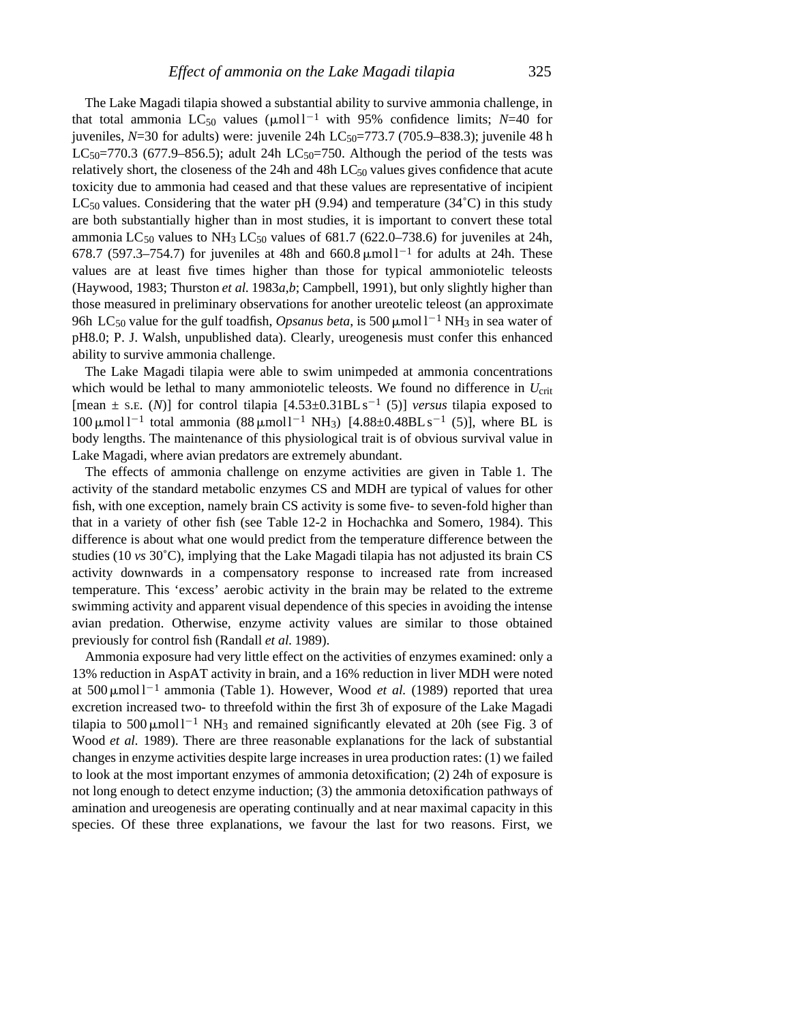The Lake Magadi tilapia showed a substantial ability to survive ammonia challenge, in that total ammonia LC<sub>50</sub> values ( $\mu$ mol<sup>1-1</sup> with 95% confidence limits; *N*=40 for juveniles,  $N=30$  for adults) were: juvenile 24h LC<sub>50</sub>=773.7 (705.9–838.3); juvenile 48 h  $LC_{50}$ =770.3 (677.9–856.5); adult 24h  $LC_{50}$ =750. Although the period of the tests was relatively short, the closeness of the 24h and 48h LC<sub>50</sub> values gives confidence that acute toxicity due to ammonia had ceased and that these values are representative of incipient LC<sub>50</sub> values. Considering that the water pH (9.94) and temperature (34<sup>°</sup>C) in this study are both substantially higher than in most studies, it is important to convert these total ammonia LC<sub>50</sub> values to NH<sub>3</sub> LC<sub>50</sub> values of 681.7 (622.0–738.6) for juveniles at 24h, 678.7 (597.3–754.7) for juveniles at 48h and 660.8  $\mu$ mol l<sup>-1</sup> for adults at 24h. These values are at least five times higher than those for typical ammoniotelic teleosts (Haywood, 1983; Thurston *et al.* 1983*a*,*b*; Campbell, 1991), but only slightly higher than those measured in preliminary observations for another ureotelic teleost (an approximate 96h LC<sub>50</sub> value for the gulf toadfish, *Opsanus beta*, is 500  $\mu$ mol l<sup>-1</sup> NH<sub>3</sub> in sea water of pH8.0; P. J. Walsh, unpublished data). Clearly, ureogenesis must confer this enhanced ability to survive ammonia challenge.

The Lake Magadi tilapia were able to swim unimpeded at ammonia concentrations which would be lethal to many ammoniotelic teleosts. We found no difference in *U*<sub>crit</sub> [mean  $\pm$  s.e. (N)] for control tilapia  $[4.53\pm0.31BL \text{ s}^{-1}$  (5)] *versus* tilapia exposed to 100 μmol  $1^{-1}$  total ammonia (88 μmol  $1^{-1}$  NH<sub>3</sub>) [4.88±0.48BLs<sup>-1</sup> (5)], where BL is body lengths. The maintenance of this physiological trait is of obvious survival value in Lake Magadi, where avian predators are extremely abundant.

The effects of ammonia challenge on enzyme activities are given in Table 1. The activity of the standard metabolic enzymes CS and MDH are typical of values for other fish, with one exception, namely brain CS activity is some five- to seven-fold higher than that in a variety of other fish (see Table 12-2 in Hochachka and Somero, 1984). This difference is about what one would predict from the temperature difference between the studies (10 *vs* 30˚C), implying that the Lake Magadi tilapia has not adjusted its brain CS activity downwards in a compensatory response to increased rate from increased temperature. This 'excess' aerobic activity in the brain may be related to the extreme swimming activity and apparent visual dependence of this species in avoiding the intense avian predation. Otherwise, enzyme activity values are similar to those obtained previously for control fish (Randall *et al.* 1989).

Ammonia exposure had very little effect on the activities of enzymes examined: only a 13% reduction in AspAT activity in brain, and a 16% reduction in liver MDH were noted at 500  $\mu$ mol l<sup>-1</sup> ammonia (Table 1). However, Wood *et al.* (1989) reported that urea excretion increased two- to threefold within the first 3h of exposure of the Lake Magadi tilapia to  $500 \,\mu\text{mol}^{-1}$  NH<sub>3</sub> and remained significantly elevated at 20h (see Fig. 3 of Wood *et al.* 1989). There are three reasonable explanations for the lack of substantial changes in enzyme activities despite large increases in urea production rates: (1) we failed to look at the most important enzymes of ammonia detoxification; (2) 24h of exposure is not long enough to detect enzyme induction; (3) the ammonia detoxification pathways of amination and ureogenesis are operating continually and at near maximal capacity in this species. Of these three explanations, we favour the last for two reasons. First, we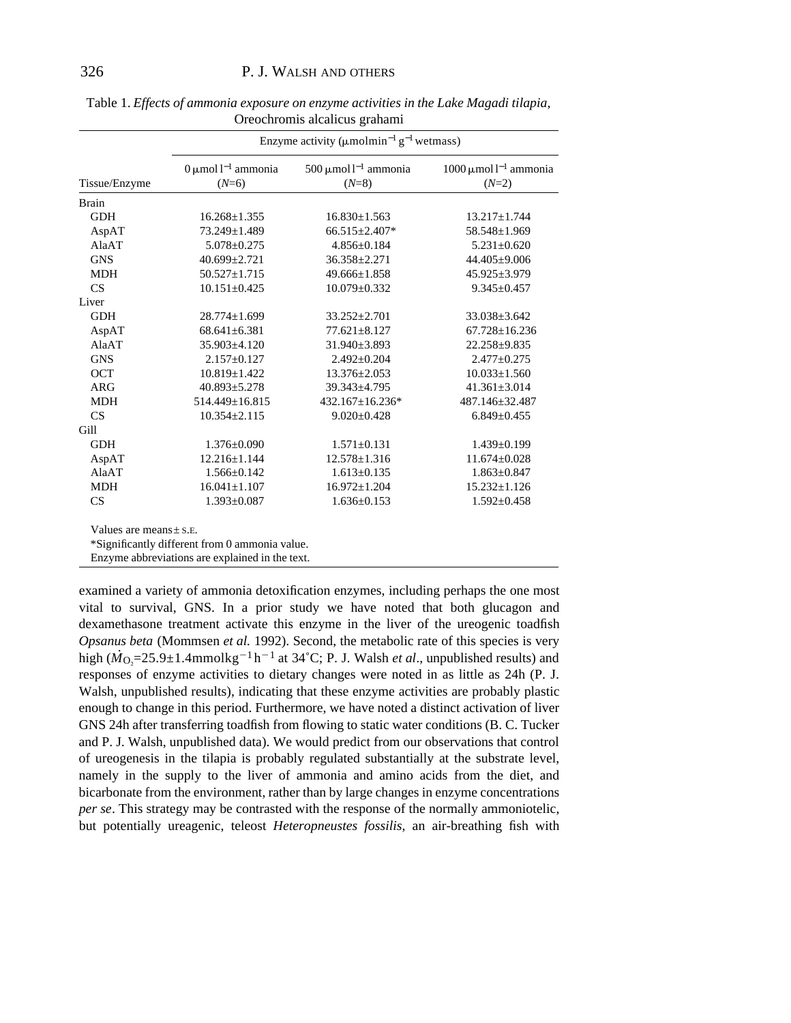| Tissue/Enzyme               | Enzyme activity ( $\mu$ molmin <sup>-1</sup> g <sup>-1</sup> wetmass) |                                                  |                                                   |
|-----------------------------|-----------------------------------------------------------------------|--------------------------------------------------|---------------------------------------------------|
|                             | $0 \mu$ mol l <sup>-1</sup> ammonia<br>$(N=6)$                        | 500 $\mu$ mol l <sup>-1</sup> ammonia<br>$(N=8)$ | $1000 \mu$ mol l <sup>-1</sup> ammonia<br>$(N=2)$ |
| <b>Brain</b>                |                                                                       |                                                  |                                                   |
| <b>GDH</b>                  | $16.268 \pm 1.355$                                                    | $16.830 \pm 1.563$                               | $13.217 \pm 1.744$                                |
| AspAT                       | 73.249±1.489                                                          | 66.515±2.407*                                    | 58.548±1.969                                      |
| AlaAT                       | $5.078 \pm 0.275$                                                     | $4.856 \pm 0.184$                                | $5.231 \pm 0.620$                                 |
| <b>GNS</b>                  | $40.699 \pm 2.721$                                                    | $36.358 \pm 2.271$                               | $44.405 \pm 9.006$                                |
| <b>MDH</b>                  | $50.527 \pm 1.715$                                                    | $49.666 \pm 1.858$                               | $45.925 \pm 3.979$                                |
| CS                          | $10.151 \pm 0.425$                                                    | $10.079 \pm 0.332$                               | $9.345 \pm 0.457$                                 |
| Liver                       |                                                                       |                                                  |                                                   |
| <b>GDH</b>                  | $28.774 \pm 1.699$                                                    | 33.252±2.701                                     | $33.038 \pm 3.642$                                |
| AspAT                       | $68.641 \pm 6.381$                                                    | $77.621 \pm 8.127$                               | $67.728 \pm 16.236$                               |
| AlaAT                       | $35.903 \pm 4.120$                                                    | $31.940 \pm 3.893$                               | $22.258 + 9.835$                                  |
| <b>GNS</b>                  | $2.157 \pm 0.127$                                                     | $2.492 \pm 0.204$                                | $2.477 \pm 0.275$                                 |
| <b>OCT</b>                  | $10.819 \pm 1.422$                                                    | $13.376 \pm 2.053$                               | $10.033 \pm 1.560$                                |
| <b>ARG</b>                  | $40.893 \pm 5.278$                                                    | 39.343±4.795                                     | $41.361 \pm 3.014$                                |
| <b>MDH</b>                  | $514.449 \pm 16.815$                                                  | $432.167 \pm 16.236*$                            | 487.146±32.487                                    |
| CS                          | $10.354 \pm 2.115$                                                    | $9.020 \pm 0.428$                                | $6.849 \pm 0.455$                                 |
| Gill                        |                                                                       |                                                  |                                                   |
| <b>GDH</b>                  | $1.376 \pm 0.090$                                                     | $1.571 \pm 0.131$                                | $1.439 \pm 0.199$                                 |
| AspAT                       | $12.216 \pm 1.144$                                                    | $12.578 \pm 1.316$                               | $11.674 \pm 0.028$                                |
| AlaAT                       | $1.566 \pm 0.142$                                                     | $1.613 \pm 0.135$                                | $1.863 \pm 0.847$                                 |
| <b>MDH</b>                  | $16.041 \pm 1.107$                                                    | $16.972 \pm 1.204$                               | $15.232 \pm 1.126$                                |
| CS                          | $1.393 \pm 0.087$                                                     | $1.636 \pm 0.153$                                | $1.592 \pm 0.458$                                 |
| Values are means $\pm$ s.E. | *Sionificantly different from 0 ammonia value                         |                                                  |                                                   |

Table 1. *Effects of ammonia exposure on enzyme activities in the Lake Magadi tilapia*, Oreochromis alcalicus grahami

\*Significantly different from 0 ammonia value.

Enzyme abbreviations are explained in the text.

examined a variety of ammonia detoxification enzymes, including perhaps the one most vital to survival, GNS. In a prior study we have noted that both glucagon and dexamethasone treatment activate this enzyme in the liver of the ureogenic toadfish *Opsanus beta* (Mommsen *et al.* 1992). Second, the metabolic rate of this species is very high ( $\dot{M}_{\text{O}_2}$ =25.9±1.4mmolkg<sup>-1</sup> h<sup>-1</sup> at 34°C; P. J. Walsh *et al.*, unpublished results) and responses of enzyme activities to dietary changes were noted in as little as 24h (P. J. Walsh, unpublished results), indicating that these enzyme activities are probably plastic enough to change in this period. Furthermore, we have noted a distinct activation of liver GNS 24h after transferring toadfish from flowing to static water conditions (B. C. Tucker and P. J. Walsh, unpublished data). We would predict from our observations that control of ureogenesis in the tilapia is probably regulated substantially at the substrate level, namely in the supply to the liver of ammonia and amino acids from the diet, and bicarbonate from the environment, rather than by large changes in enzyme concentrations *per se*. This strategy may be contrasted with the response of the normally ammoniotelic, but potentially ureagenic, teleost *Heteropneustes fossilis*, an air-breathing fish with